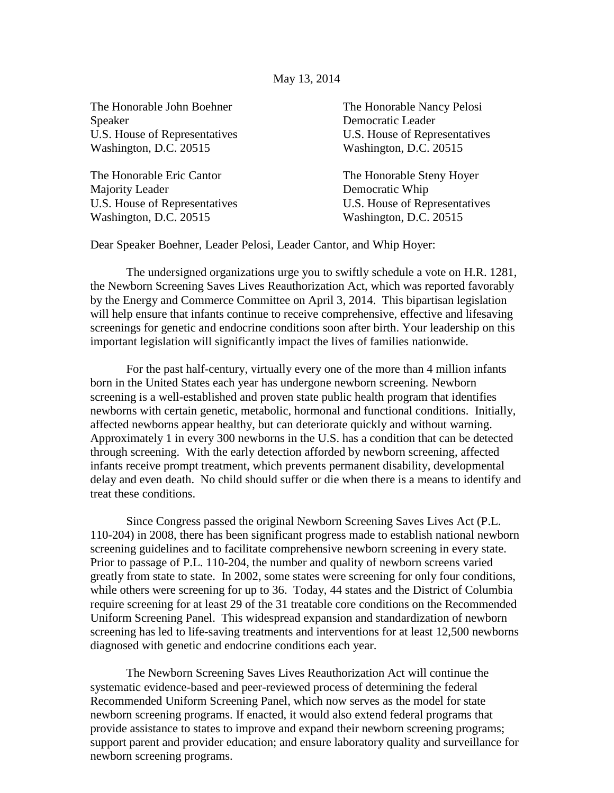## May 13, 2014

The Honorable John Boehner The Honorable Nancy Pelosi Speaker Democratic Leader U.S. House of Representatives U.S. House of Representatives Washington, D.C. 20515 Washington, D.C. 20515

The Honorable Eric Cantor The Honorable Steny Hoyer Majority Leader **Democratic Whip** Washington, D.C. 20515 Washington, D.C. 20515

U.S. House of Representatives U.S. House of Representatives

Dear Speaker Boehner, Leader Pelosi, Leader Cantor, and Whip Hoyer:

The undersigned organizations urge you to swiftly schedule a vote on H.R. 1281, the Newborn Screening Saves Lives Reauthorization Act, which was reported favorably by the Energy and Commerce Committee on April 3, 2014. This bipartisan legislation will help ensure that infants continue to receive comprehensive, effective and lifesaving screenings for genetic and endocrine conditions soon after birth. Your leadership on this important legislation will significantly impact the lives of families nationwide.

For the past half-century, virtually every one of the more than 4 million infants born in the United States each year has undergone newborn screening. Newborn screening is a well-established and proven state public health program that identifies newborns with certain genetic, metabolic, hormonal and functional conditions. Initially, affected newborns appear healthy, but can deteriorate quickly and without warning. Approximately 1 in every 300 newborns in the U.S. has a condition that can be detected through screening. With the early detection afforded by newborn screening, affected infants receive prompt treatment, which prevents permanent disability, developmental delay and even death. No child should suffer or die when there is a means to identify and treat these conditions.

Since Congress passed the original Newborn Screening Saves Lives Act (P.L. 110-204) in 2008, there has been significant progress made to establish national newborn screening guidelines and to facilitate comprehensive newborn screening in every state. Prior to passage of P.L. 110-204, the number and quality of newborn screens varied greatly from state to state. In 2002, some states were screening for only four conditions, while others were screening for up to 36. Today, 44 states and the District of Columbia require screening for at least 29 of the 31 treatable core conditions on the Recommended Uniform Screening Panel. This widespread expansion and standardization of newborn screening has led to life-saving treatments and interventions for at least 12,500 newborns diagnosed with genetic and endocrine conditions each year.

The Newborn Screening Saves Lives Reauthorization Act will continue the systematic evidence-based and peer-reviewed process of determining the federal Recommended Uniform Screening Panel, which now serves as the model for state newborn screening programs. If enacted, it would also extend federal programs that provide assistance to states to improve and expand their newborn screening programs; support parent and provider education; and ensure laboratory quality and surveillance for newborn screening programs.